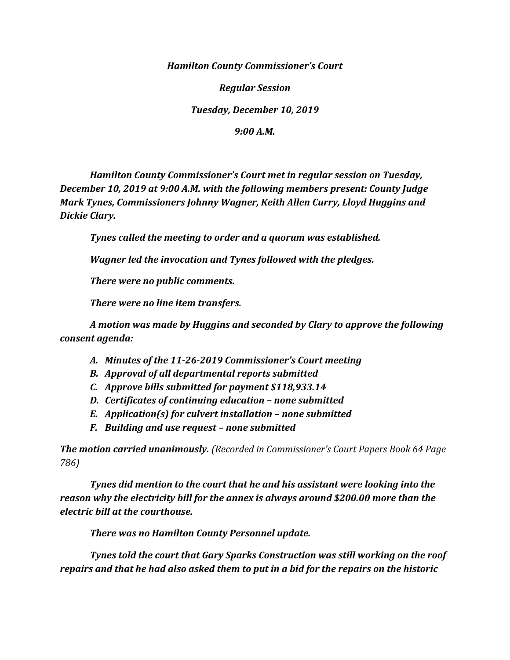*Hamilton County Commissioner's Court*

*Regular Session*

*Tuesday, December 10, 2019*

*9:00 A.M.*

*Hamilton County Commissioner's Court met in regular session on Tuesday, December 10, 2019 at 9:00 A.M. with the following members present: County Judge Mark Tynes, Commissioners Johnny Wagner, Keith Allen Curry, Lloyd Huggins and Dickie Clary.*

*Tynes called the meeting to order and a quorum was established.*

*Wagner led the invocation and Tynes followed with the pledges.*

*There were no public comments.*

*There were no line item transfers.*

*A motion was made by Huggins and seconded by Clary to approve the following consent agenda:*

- *A. Minutes of the 11-26-2019 Commissioner's Court meeting*
- *B. Approval of all departmental reports submitted*
- *C. Approve bills submitted for payment \$118,933.14*
- *D. Certificates of continuing education – none submitted*
- *E. Application(s) for culvert installation – none submitted*
- *F. Building and use request – none submitted*

*The motion carried unanimously. (Recorded in Commissioner's Court Papers Book 64 Page 786)*

*Tynes did mention to the court that he and his assistant were looking into the reason why the electricity bill for the annex is always around \$200.00 more than the electric bill at the courthouse.*

*There was no Hamilton County Personnel update.*

*Tynes told the court that Gary Sparks Construction was still working on the roof repairs and that he had also asked them to put in a bid for the repairs on the historic*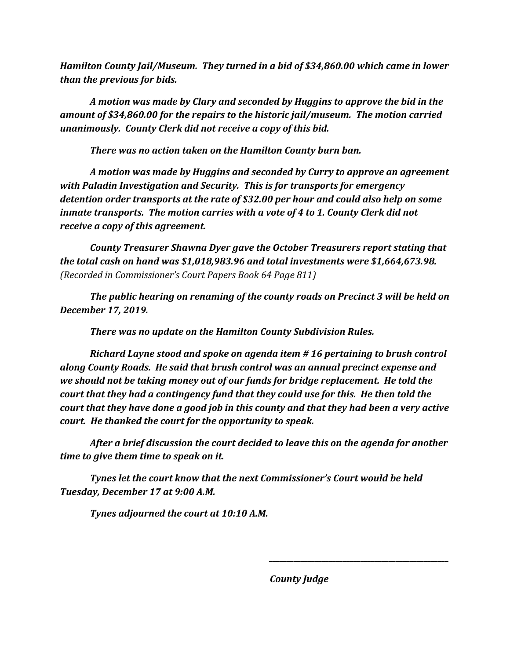*Hamilton County Jail/Museum. They turned in a bid of \$34,860.00 which came in lower than the previous for bids.*

*A motion was made by Clary and seconded by Huggins to approve the bid in the amount of \$34,860.00 for the repairs to the historic jail/museum. The motion carried unanimously. County Clerk did not receive a copy of this bid.*

*There was no action taken on the Hamilton County burn ban.*

*A motion was made by Huggins and seconded by Curry to approve an agreement with Paladin Investigation and Security. This is for transports for emergency detention order transports at the rate of \$32.00 per hour and could also help on some inmate transports. The motion carries with a vote of 4 to 1. County Clerk did not receive a copy of this agreement.*

*County Treasurer Shawna Dyer gave the October Treasurers report stating that the total cash on hand was \$1,018,983.96 and total investments were \$1,664,673.98. (Recorded in Commissioner's Court Papers Book 64 Page 811)*

*The public hearing on renaming of the county roads on Precinct 3 will be held on December 17, 2019.*

*There was no update on the Hamilton County Subdivision Rules.*

*Richard Layne stood and spoke on agenda item # 16 pertaining to brush control along County Roads. He said that brush control was an annual precinct expense and we should not be taking money out of our funds for bridge replacement. He told the court that they had a contingency fund that they could use for this. He then told the court that they have done a good job in this county and that they had been a very active court. He thanked the court for the opportunity to speak.*

*After a brief discussion the court decided to leave this on the agenda for another time to give them time to speak on it.*

*Tynes let the court know that the next Commissioner's Court would be held Tuesday, December 17 at 9:00 A.M.*

*Tynes adjourned the court at 10:10 A.M.*

*County Judge*

*\_\_\_\_\_\_\_\_\_\_\_\_\_\_\_\_\_\_\_\_\_\_\_\_\_\_\_\_\_\_\_\_\_\_\_\_\_\_\_\_\_\_\_\_\_\_\_\_\_\_\_*